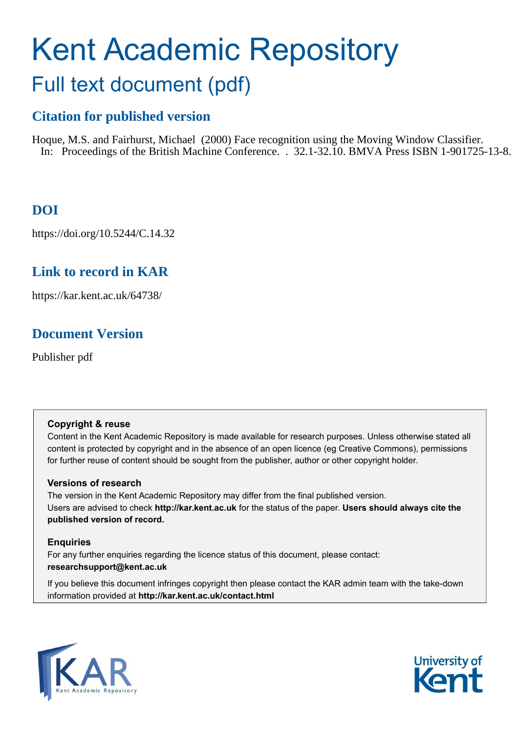# Kent Academic Repository Full text document (pdf)

# **Citation for published version**

Hoque, M.S. and Fairhurst, Michael (2000) Face recognition using the Moving Window Classifier. In: Proceedings of the British Machine Conference. . 32.1-32.10. BMVA Press ISBN 1-901725-13-8.

# **DOI**

https://doi.org/10.5244/C.14.32

# **Link to record in KAR**

https://kar.kent.ac.uk/64738/

# **Document Version**

Publisher pdf

# **Copyright & reuse**

Content in the Kent Academic Repository is made available for research purposes. Unless otherwise stated all content is protected by copyright and in the absence of an open licence (eg Creative Commons), permissions for further reuse of content should be sought from the publisher, author or other copyright holder.

# **Versions of research**

The version in the Kent Academic Repository may differ from the final published version. Users are advised to check **http://kar.kent.ac.uk** for the status of the paper. **Users should always cite the published version of record.**

# **Enquiries**

For any further enquiries regarding the licence status of this document, please contact: **researchsupport@kent.ac.uk**

If you believe this document infringes copyright then please contact the KAR admin team with the take-down information provided at **http://kar.kent.ac.uk/contact.html**



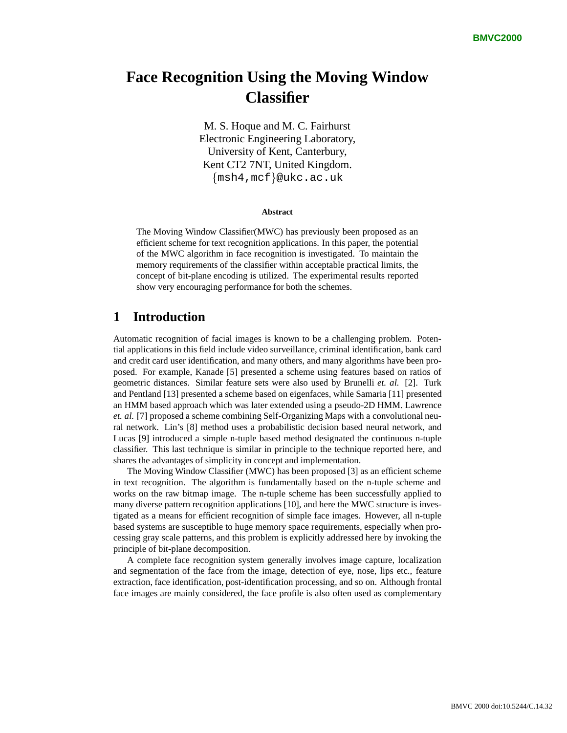# **Face Recognition Using the Moving Window Classifier**

M. S. Hoque and M. C. Fairhurst Electronic Engineering Laboratory, University of Kent, Canterbury, Kent CT2 7NT, United Kingdom.  ${msh4, mcf}$ @ukc.ac.uk

#### **Abstract**

The Moving Window Classifier(MWC) has previously been proposed as an efficient scheme for text recognition applications. In this paper, the potential of the MWC algorithm in face recognition is investigated. To maintain the memory requirements of the classifier within acceptable practical limits, the concept of bit-plane encoding is utilized. The experimental results reported show very encouraging performance for both the schemes.

## **1 Introduction**

Automatic recognition of facial images is known to be a challenging problem. Potential applications in this field include video surveillance, criminal identification, bank card and credit card user identification, and many others, and many algorithms have been proposed. For example, Kanade [5] presented a scheme using features based on ratios of geometric distances. Similar feature sets were also used by Brunelli *et. al.* [2]. Turk and Pentland [13] presented a scheme based on eigenfaces, while Samaria [11] presented an HMM based approach which was later extended using a pseudo-2D HMM. Lawrence *et. al.* [7] proposed a scheme combining Self-Organizing Maps with a convolutional neural network. Lin's [8] method uses a probabilistic decision based neural network, and Lucas [9] introduced a simple n-tuple based method designated the continuous n-tuple classifier. This last technique is similar in principle to the technique reported here, and shares the advantages of simplicity in concept and implementation.

The Moving Window Classifier (MWC) has been proposed [3] as an efficient scheme in text recognition. The algorithm is fundamentally based on the n-tuple scheme and works on the raw bitmap image. The n-tuple scheme has been successfully applied to many diverse pattern recognition applications [10], and here the MWC structure is investigated as a means for efficient recognition of simple face images. However, all n-tuple based systems are susceptible to huge memory space requirements, especially when processing gray scale patterns, and this problem is explicitly addressed here by invoking the principle of bit-plane decomposition.

A complete face recognition system generally involves image capture, localization and segmentation of the face from the image, detection of eye, nose, lips etc., feature extraction, face identification, post-identification processing, and so on. Although frontal face images are mainly considered, the face profile is also often used as complementary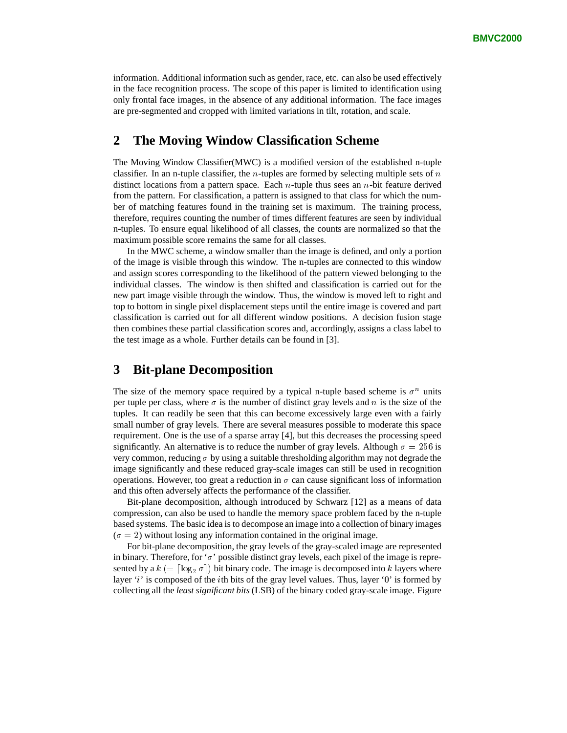information. Additional information such as gender, race, etc. can also be used effectively in the face recognition process. The scope of this paper is limited to identification using only frontal face images, in the absence of any additional information. The face images are pre-segmented and cropped with limited variations in tilt, rotation, and scale.

## **2 The Moving Window Classification Scheme**

The Moving Window Classifier(MWC) is a modified version of the established n-tuple classifier. In an n-tuple classifier, the *n*-tuples are formed by selecting multiple sets of *n* distinct locations from a pattern space. Each *n*-tuple thus sees an *n*-bit feature derived from the pattern. For classification, a pattern is assigned to that class for which the number of matching features found in the training set is maximum. The training process, therefore, requires counting the number of times different features are seen by individual n-tuples. To ensure equal likelihood of all classes, the counts are normalized so that the maximum possible score remains the same for all classes.

In the MWC scheme, a window smaller than the image is defined, and only a portion of the image is visible through this window. The n-tuples are connected to this window and assign scores corresponding to the likelihood of the pattern viewed belonging to the individual classes. The window is then shifted and classification is carried out for the new part image visible through the window. Thus, the window is moved left to right and top to bottom in single pixel displacement steps until the entire image is covered and part classification is carried out for all different window positions. A decision fusion stage then combines these partial classification scores and, accordingly, assigns a class label to the test image as a whole. Further details can be found in [3].

## **3 Bit-plane Decomposition**

The size of the memory space required by a typical n-tuple based scheme is  $\sigma^n$  units per tuple per class, where  $\sigma$  is the number of distinct gray levels and n is the size of the tuples. It can readily be seen that this can become excessively large even with a fairly small number of gray levels. There are several measures possible to moderate this space requirement. One is the use of a sparse array [4], but this decreases the processing speed significantly. An alternative is to reduce the number of gray levels. Although  $\sigma = 256$  is very common, reducing  $\sigma$  by using a suitable thresholding algorithm may not degrade the image significantly and these reduced gray-scale images can still be used in recognition operations. However, too great a reduction in  $\sigma$  can cause significant loss of information and this often adversely affects the performance of the classifier.

Bit-plane decomposition, although introduced by Schwarz [12] as a means of data compression, can also be used to handle the memory space problem faced by the n-tuple based systems. The basic idea is to decompose an image into a collection of binary images  $(\sigma = 2)$  without losing any information contained in the original image.

For bit-plane decomposition, the gray levels of the gray-scaled image are represented in binary. Therefore, for ' $\sigma$ ' possible distinct gray levels, each pixel of the image is represented by a  $k = \lceil \log_2 \sigma \rceil$  bit binary code. The image is decomposed into k layers where layer  $'i'$  is composed of the *i*th bits of the gray level values. Thus, layer '0' is formed by collecting all the *least significant bits* (LSB) of the binary coded gray-scale image. Figure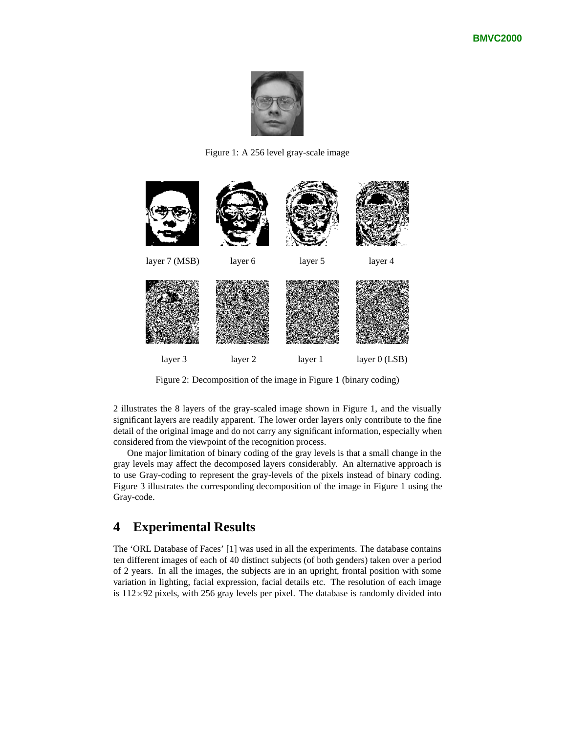

Figure 1: A 256 level gray-scale image



Figure 2: Decomposition of the image in Figure 1 (binary coding)

2 illustrates the 8 layers of the gray-scaled image shown in Figure 1, and the visually significant layers are readily apparent. The lower order layers only contribute to the fine detail of the original image and do not carry any significant information, especially when considered from the viewpoint of the recognition process.

One major limitation of binary coding of the gray levels is that a small change in the gray levels may affect the decomposed layers considerably. An alternative approach is to use Gray-coding to represent the gray-levels of the pixels instead of binary coding. Figure 3 illustrates the corresponding decomposition of the image in Figure 1 using the Gray-code.

# **4 Experimental Results**

The 'ORL Database of Faces' [1] was used in all the experiments. The database contains ten different images of each of 40 distinct subjects (of both genders) taken over a period of 2 years. In all the images, the subjects are in an upright, frontal position with some variation in lighting, facial expression, facial details etc. The resolution of each image is  $112 \times 92$  pixels, with 256 gray levels per pixel. The database is randomly divided into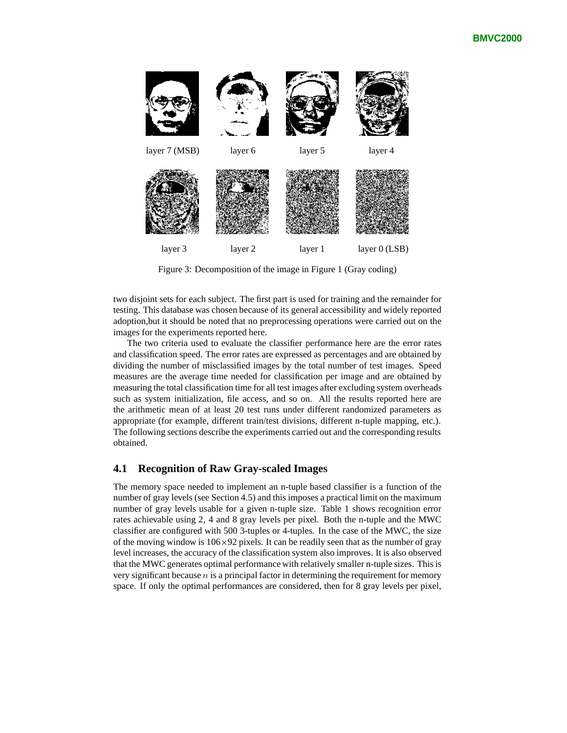

Figure 3: Decomposition of the image in Figure 1 (Gray coding)

two disjoint sets for each subject. The first part is used for training and the remainder for testing. This database was chosen because of its general accessibility and widely reported adoption,but it should be noted that no preprocessing operations were carried out on the images for the experiments reported here.

The two criteria used to evaluate the classifier performance here are the error rates and classification speed. The error rates are expressed as percentages and are obtained by dividing the number of misclassified images by the total number of test images. Speed measures are the average time needed for classification per image and are obtained by measuring the total classification time for all test images after excluding system overheads such as system initialization, file access, and so on. All the results reported here are the arithmetic mean of at least 20 test runs under different randomized parameters as appropriate (for example, different train/test divisions, different n-tuple mapping, etc.). The following sections describe the experiments carried out and the corresponding results obtained.

#### **4.1 Recognition of Raw Gray-scaled Images**

The memory space needed to implement an n-tuple based classifier is a function of the number of gray levels (see Section 4.5) and this imposes a practical limit on the maximum number of gray levels usable for a given n-tuple size. Table 1 shows recognition error rates achievable using 2, 4 and 8 gray levels per pixel. Both the n-tuple and the MWC classifier are configured with 500 3-tuples or 4-tuples. In the case of the MWC, the size of the moving window is  $106\times92$  pixels. It can be readily seen that as the number of gray level increases, the accuracy of the classification system also improves. It is also observed that the MWC generates optimal performance with relatively smaller n-tuple sizes. This is very significant because  $n$  is a principal factor in determining the requirement for memory space. If only the optimal performances are considered, then for 8 gray levels per pixel,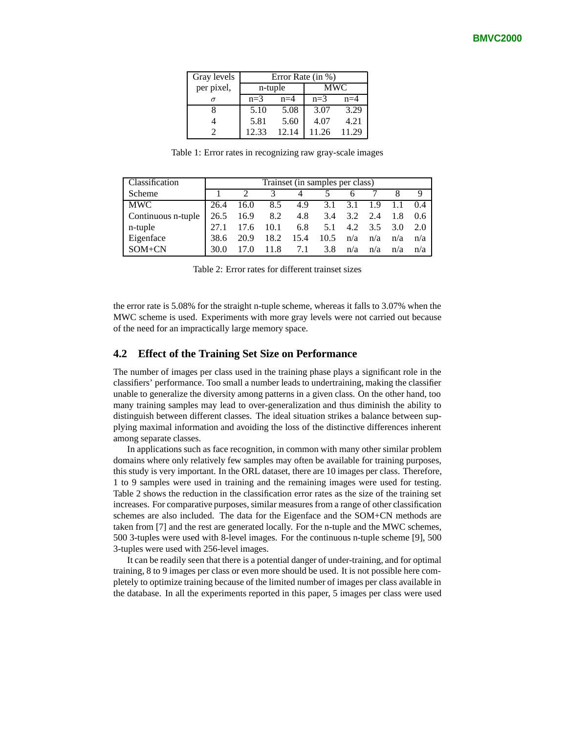| Gray levels | Error Rate $(in %)$ |       |       |       |  |
|-------------|---------------------|-------|-------|-------|--|
| per pixel,  | n-tuple             |       | MWC   |       |  |
| σ           | $n=3$               | $n=4$ | $n=3$ | $n=4$ |  |
|             | 5.10                | 5.08  | 3.07  | 3.29  |  |
|             | 5.81                | 5.60  | 4.07  | 4.21  |  |
|             | 12.33               | 12.14 | 11.26 | 11.29 |  |

Table 1: Error rates in recognizing raw gray-scale images

| Classification     | Trainset (in samples per class) |               |          |      |                 |     |         |       |     |
|--------------------|---------------------------------|---------------|----------|------|-----------------|-----|---------|-------|-----|
| Scheme             |                                 |               |          |      |                 |     |         |       |     |
| MWC                | 26.4                            |               | 16.0 8.5 |      | 4.9 3.1 3.1 1.9 |     |         | 1.1   | 0.4 |
| Continuous n-tuple |                                 | 26.5 16.9 8.2 |          |      | 4.8 3.4 3.2     |     | 2.4     | - 1.8 | 0.6 |
| n-tuple            |                                 | 17.6          | 10.1     |      | 6.8 $5.1$       |     | 4.2 3.5 | 3.0   | 2.0 |
| Eigenface          | 38.6                            | 20.9          | 18.2     | 15.4 | 10.5            | n/a | n/a     | n/a   | n/a |
| $SOM+CN$           | 30.0                            |               | 11.8     | 7.1  | 3.8             | n/a | n/a     | n/a   | n/a |

Table 2: Error rates for different trainset sizes

the error rate is 5.08% for the straight n-tuple scheme, whereas it falls to 3.07% when the MWC scheme is used. Experiments with more gray levels were not carried out because of the need for an impractically large memory space.

#### **4.2 Effect of the Training Set Size on Performance**

The number of images per class used in the training phase plays a significant role in the classifiers' performance. Too small a number leads to undertraining, making the classifier unable to generalize the diversity among patterns in a given class. On the other hand, too many training samples may lead to over-generalization and thus diminish the ability to distinguish between different classes. The ideal situation strikes a balance between supplying maximal information and avoiding the loss of the distinctive differences inherent among separate classes.

In applications such as face recognition, in common with many other similar problem domains where only relatively few samples may often be available for training purposes, this study is very important. In the ORL dataset, there are 10 images per class. Therefore, 1 to 9 samples were used in training and the remaining images were used for testing. Table 2 shows the reduction in the classification error rates as the size of the training set increases. For comparative purposes, similar measures from a range of other classification schemes are also included. The data for the Eigenface and the SOM+CN methods are taken from [7] and the rest are generated locally. For the n-tuple and the MWC schemes, 500 3-tuples were used with 8-level images. For the continuous n-tuple scheme [9], 500 3-tuples were used with 256-level images.

It can be readily seen that there is a potential danger of under-training, and for optimal training, 8 to 9 images per class or even more should be used. It is not possible here completely to optimize training because of the limited number of images per class available in the database. In all the experiments reported in this paper, 5 images per class were used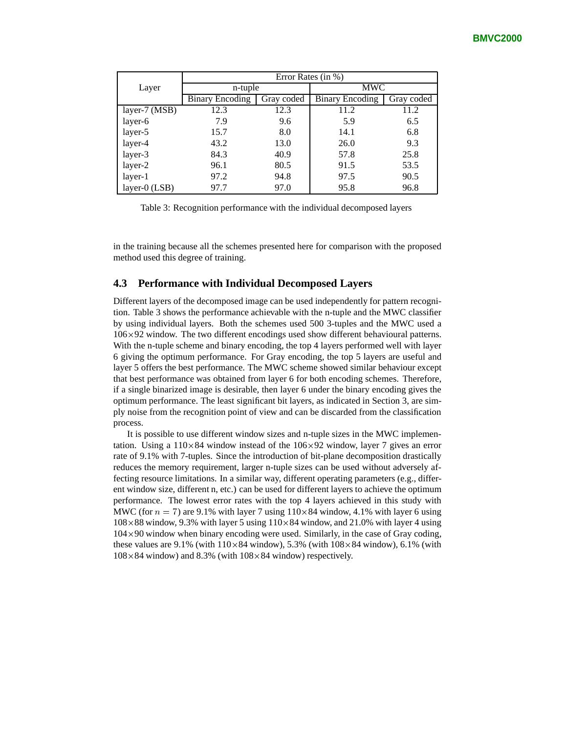|               | Error Rates (in %)     |            |                        |            |  |
|---------------|------------------------|------------|------------------------|------------|--|
| Layer         | n-tuple                |            | <b>MWC</b>             |            |  |
|               | <b>Binary Encoding</b> | Gray coded | <b>Binary Encoding</b> | Gray coded |  |
| layer-7 (MSB) | 12.3                   | 12.3       | 11.2                   | 11.2       |  |
| layer-6       | 7.9                    | 9.6        | 5.9                    | 6.5        |  |
| layer-5       | 15.7                   | 8.0        | 14.1                   | 6.8        |  |
| layer-4       | 43.2                   | 13.0       | 26.0                   | 9.3        |  |
| layer-3       | 84.3                   | 40.9       | 57.8                   | 25.8       |  |
| layer-2       | 96.1                   | 80.5       | 91.5                   | 53.5       |  |
| layer-1       | 97.2                   | 94.8       | 97.5                   | 90.5       |  |
| layer-0 (LSB) | 97.7                   | 97.0       | 95.8                   | 96.8       |  |

Table 3: Recognition performance with the individual decomposed layers

in the training because all the schemes presented here for comparison with the proposed method used this degree of training.

#### **4.3 Performance with Individual Decomposed Layers**

Different layers of the decomposed image can be used independently for pattern recognition. Table 3 shows the performance achievable with the n-tuple and the MWC classifier by using individual layers. Both the schemes used 500 3-tuples and the MWC used a  $106\times92$  window. The two different encodings used show different behavioural patterns. With the n-tuple scheme and binary encoding, the top 4 layers performed well with layer 6 giving the optimum performance. For Gray encoding, the top 5 layers are useful and layer 5 offers the best performance. The MWC scheme showed similar behaviour except that best performance was obtained from layer 6 for both encoding schemes. Therefore, if a single binarized image is desirable, then layer 6 under the binary encoding gives the optimum performance. The least significant bit layers, as indicated in Section 3, are simply noise from the recognition point of view and can be discarded from the classification process.

It is possible to use different window sizes and n-tuple sizes in the MWC implementation. Using a  $110\times84$  window instead of the  $106\times92$  window, layer 7 gives an error rate of 9.1% with 7-tuples. Since the introduction of bit-plane decomposition drastically reduces the memory requirement, larger n-tuple sizes can be used without adversely affecting resource limitations. In a similar way, different operating parameters (e.g., different window size, different n, etc.) can be used for different layers to achieve the optimum performance. The lowest error rates with the top 4 layers achieved in this study with MWC (for  $n = 7$ ) are 9.1% with layer 7 using  $110 \times 84$  window, 4.1% with layer 6 using  $108 \times 88$  window, 9.3% with layer 5 using  $110 \times 84$  window, and 21.0% with layer 4 using  $104 \times 90$  window when binary encoding were used. Similarly, in the case of Gray coding, these values are  $9.1\%$  (with  $110\times84$  window), 5.3% (with  $108\times84$  window), 6.1% (with  $108 \times 84$  window) and 8.3% (with  $108 \times 84$  window) respectively.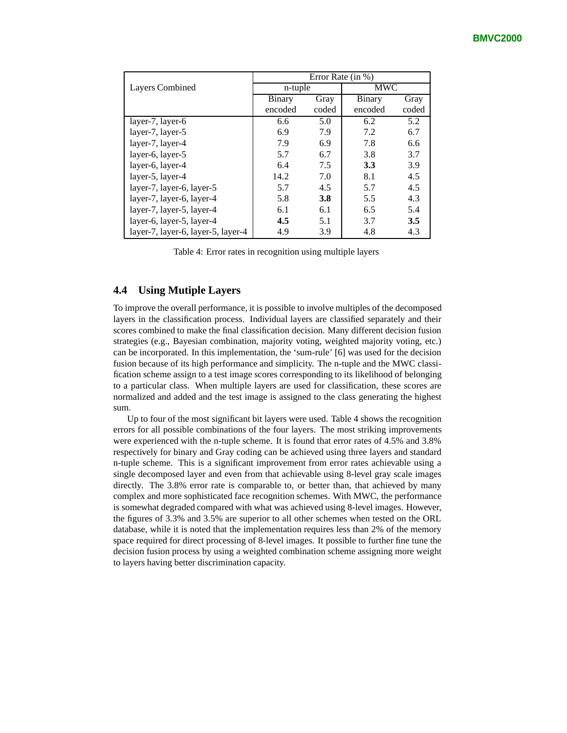|                                    | Error Rate (in %) |       |               |       |  |  |
|------------------------------------|-------------------|-------|---------------|-------|--|--|
| Layers Combined                    | n-tuple           |       | <b>MWC</b>    |       |  |  |
|                                    | Binary            | Gray  | <b>Binary</b> | Gray  |  |  |
|                                    | encoded           | coded | encoded       | coded |  |  |
| layer-7, layer-6                   | 6.6               | 5.0   | 6.2           | 5.2   |  |  |
| layer-7, layer-5                   | 6.9               | 7.9   | 7.2           | 6.7   |  |  |
| layer-7, layer-4                   | 7.9               | 6.9   | 7.8           | 6.6   |  |  |
| layer-6, layer-5                   | 5.7               | 6.7   | 3.8           | 3.7   |  |  |
| layer-6, layer-4                   | 6.4               | 7.5   | 3.3           | 3.9   |  |  |
| layer-5, layer-4                   | 14.2              | 7.0   | 8.1           | 4.5   |  |  |
| layer-7, layer-6, layer-5          | 5.7               | 4.5   | 5.7           | 4.5   |  |  |
| layer-7, layer-6, layer-4          | 5.8               | 3.8   | 5.5           | 4.3   |  |  |
| layer-7, layer-5, layer-4          | 6.1               | 6.1   | 6.5           | 5.4   |  |  |
| layer-6, layer-5, layer-4          | 4.5               | 5.1   | 3.7           | 3.5   |  |  |
| layer-7, layer-6, layer-5, layer-4 | 4.9               | 3.9   | 4.8           | 4.3   |  |  |

Table 4: Error rates in recognition using multiple layers

#### **4.4 Using Mutiple Layers**

To improve the overall performance, it is possible to involve multiples of the decomposed layers in the classification process. Individual layers are classified separately and their scores combined to make the final classification decision. Many different decision fusion strategies (e.g., Bayesian combination, majority voting, weighted majority voting, etc.) can be incorporated. In this implementation, the 'sum-rule' [6] was used for the decision fusion because of its high performance and simplicity. The n-tuple and the MWC classification scheme assign to a test image scores corresponding to its likelihood of belonging to a particular class. When multiple layers are used for classification, these scores are normalized and added and the test image is assigned to the class generating the highest sum.

Up to four of the most significant bit layers were used. Table 4 shows the recognition errors for all possible combinations of the four layers. The most striking improvements were experienced with the n-tuple scheme. It is found that error rates of 4.5% and 3.8% respectively for binary and Gray coding can be achieved using three layers and standard n-tuple scheme. This is a significant improvement from error rates achievable using a single decomposed layer and even from that achievable using 8-level gray scale images directly. The 3.8% error rate is comparable to, or better than, that achieved by many complex and more sophisticated face recognition schemes. With MWC, the performance is somewhat degraded compared with what was achieved using 8-level images. However, the figures of 3.3% and 3.5% are superior to all other schemes when tested on the ORL database, while it is noted that the implementation requires less than 2% of the memory space required for direct processing of 8-level images. It possible to further fine tune the decision fusion process by using a weighted combination scheme assigning more weight to layers having better discrimination capacity.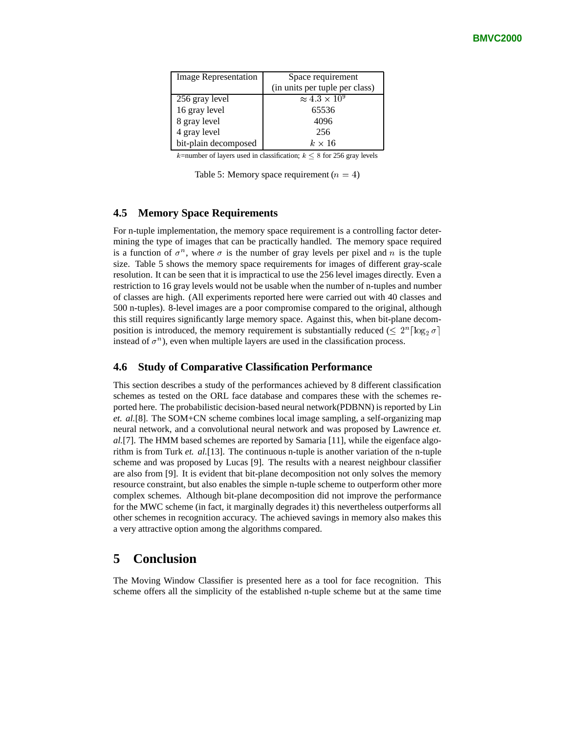| <b>Image Representation</b> | Space requirement                      |  |  |
|-----------------------------|----------------------------------------|--|--|
|                             | (in units per tuple per class)         |  |  |
| 256 gray level              | $\approx$ 4.3 $\times$ 10 <sup>9</sup> |  |  |
| 16 gray level               | 65536                                  |  |  |
| 8 gray level                | 4096                                   |  |  |
| 4 gray level                | 256                                    |  |  |
| bit-plain decomposed        | $k \times 16$                          |  |  |

k=number of layers used in classification;  $k \leq 8$  for 256 gray levels

Table 5: Memory space requirement  $(n = 4)$ 

#### **4.5 Memory Space Requirements**

For n-tuple implementation, the memory space requirement is a controlling factor determining the type of images that can be practically handled. The memory space required is a function of  $\sigma^n$ , where  $\sigma$  is the number of gray levels per pixel and n is the tuple size. Table 5 shows the memory space requirements for images of different gray-scale resolution. It can be seen that it is impractical to use the 256 level images directly. Even a restriction to 16 gray levels would not be usable when the number of n-tuples and number of classes are high. (All experiments reported here were carried out with 40 classes and 500 n-tuples). 8-level images are a poor compromise compared to the original, although this still requires significantly large memory space. Against this, when bit-plane decomposition is introduced, the memory requirement is substantially reduced ( $\leq 2^{n} \lceil \log_2 \sigma \rceil$ instead of  $\sigma^n$ ), even when multiple layers are used in the classification process.

#### **4.6 Study of Comparative Classification Performance**

This section describes a study of the performances achieved by 8 different classification schemes as tested on the ORL face database and compares these with the schemes reported here. The probabilistic decision-based neural network(PDBNN) is reported by Lin *et. al.*[8]. The SOM+CN scheme combines local image sampling, a self-organizing map neural network, and a convolutional neural network and was proposed by Lawrence *et. al.*[7]. The HMM based schemes are reported by Samaria [11], while the eigenface algorithm is from Turk *et. al.*[13]. The continuous n-tuple is another variation of the n-tuple scheme and was proposed by Lucas [9]. The results with a nearest neighbour classifier are also from [9]. It is evident that bit-plane decomposition not only solves the memory resource constraint, but also enables the simple n-tuple scheme to outperform other more complex schemes. Although bit-plane decomposition did not improve the performance for the MWC scheme (in fact, it marginally degrades it) this nevertheless outperforms all other schemes in recognition accuracy. The achieved savings in memory also makes this a very attractive option among the algorithms compared.

#### **5 Conclusion**

The Moving Window Classifier is presented here as a tool for face recognition. This scheme offers all the simplicity of the established n-tuple scheme but at the same time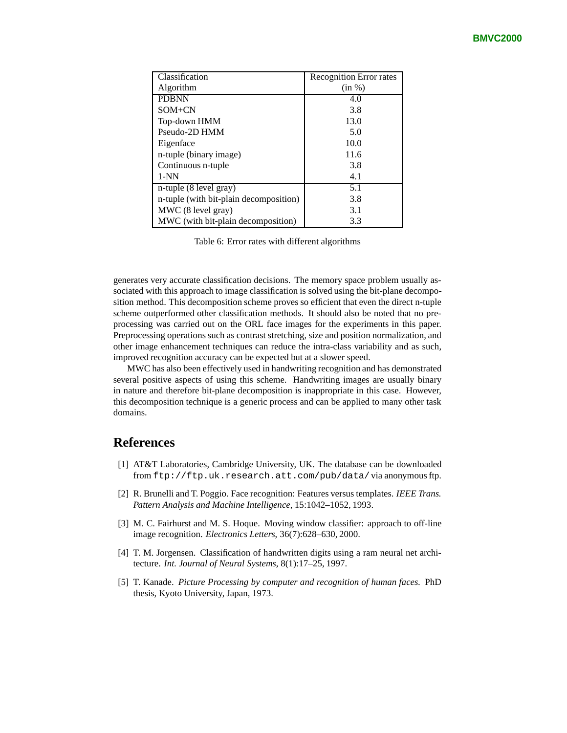| Classification                         | Recognition Error rates |
|----------------------------------------|-------------------------|
| Algorithm                              | (in %)                  |
| <b>PDBNN</b>                           | 4.0                     |
| $SOM+CN$                               | 3.8                     |
| Top-down HMM                           | 13.0                    |
| Pseudo-2D HMM                          | 5.0                     |
| Eigenface                              | 10.0                    |
| n-tuple (binary image)                 | 11.6                    |
| Continuous n-tuple                     | 3.8                     |
| $1-NN$                                 | 4.1                     |
| n-tuple (8 level gray)                 | 5.1                     |
| n-tuple (with bit-plain decomposition) | 3.8                     |
| MWC (8 level gray)                     | 3.1                     |
| MWC (with bit-plain decomposition)     | 3.3                     |

Table 6: Error rates with different algorithms

generates very accurate classification decisions. The memory space problem usually associated with this approach to image classification is solved using the bit-plane decomposition method. This decomposition scheme proves so efficient that even the direct n-tuple scheme outperformed other classification methods. It should also be noted that no preprocessing was carried out on the ORL face images for the experiments in this paper. Preprocessing operations such as contrast stretching, size and position normalization, and other image enhancement techniques can reduce the intra-class variability and as such, improved recognition accuracy can be expected but at a slower speed.

MWC has also been effectively used in handwriting recognition and has demonstrated several positive aspects of using this scheme. Handwriting images are usually binary in nature and therefore bit-plane decomposition is inappropriate in this case. However, this decomposition technique is a generic process and can be applied to many other task domains.

# **References**

- [1] AT&T Laboratories, Cambridge University, UK. The database can be downloaded from ftp://ftp.uk.research.att.com/pub/data/via anonymous ftp.
- [2] R. Brunelli and T. Poggio. Face recognition: Features versus templates. *IEEE Trans. Pattern Analysis and Machine Intelligence*, 15:1042–1052, 1993.
- [3] M. C. Fairhurst and M. S. Hoque. Moving window classifier: approach to off-line image recognition. *Electronics Letters*, 36(7):628–630, 2000.
- [4] T. M. Jorgensen. Classification of handwritten digits using a ram neural net architecture. *Int. Journal of Neural Systems*, 8(1):17–25, 1997.
- [5] T. Kanade. *Picture Processing by computer and recognition of human faces*. PhD thesis, Kyoto University, Japan, 1973.